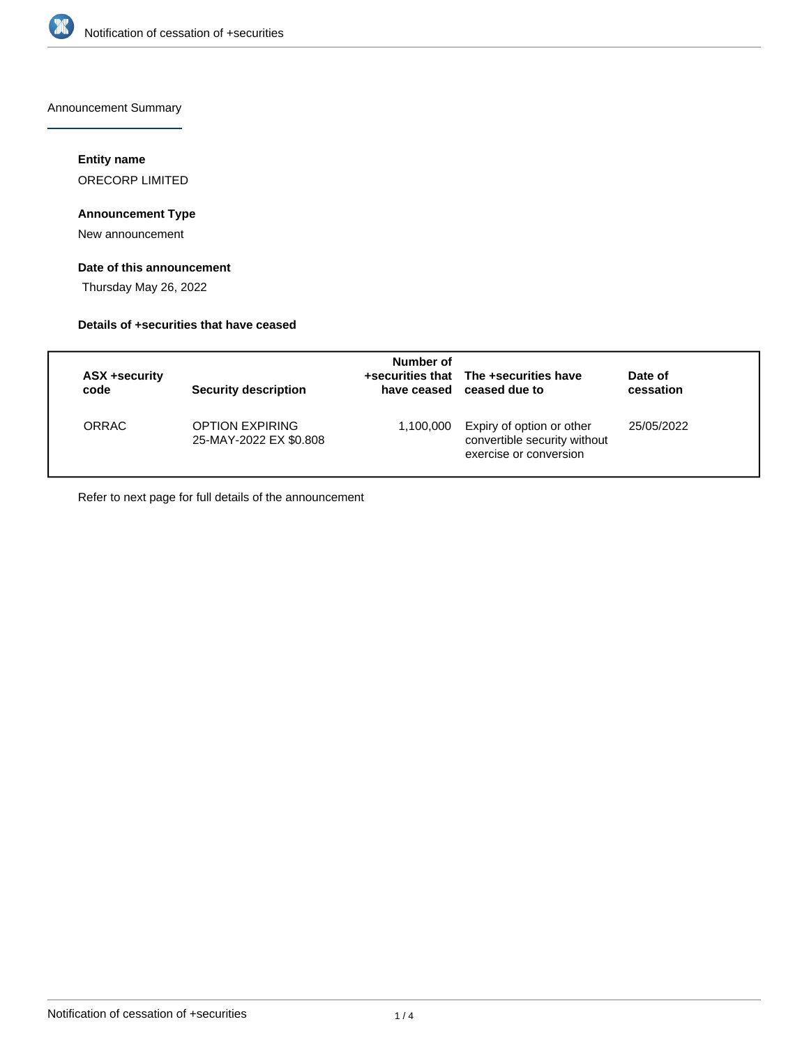

Announcement Summary

### **Entity name**

ORECORP LIMITED

### **Announcement Type**

New announcement

### **Date of this announcement**

Thursday May 26, 2022

### **Details of +securities that have ceased**

| ASX +security | Security description                             | Number of   | +securities that The +securities have                                               | Date of    |
|---------------|--------------------------------------------------|-------------|-------------------------------------------------------------------------------------|------------|
| code          |                                                  | have ceased | ceased due to                                                                       | cessation  |
| <b>ORRAC</b>  | <b>OPTION EXPIRING</b><br>25-MAY-2022 EX \$0.808 | 1,100,000   | Expiry of option or other<br>convertible security without<br>exercise or conversion | 25/05/2022 |

Refer to next page for full details of the announcement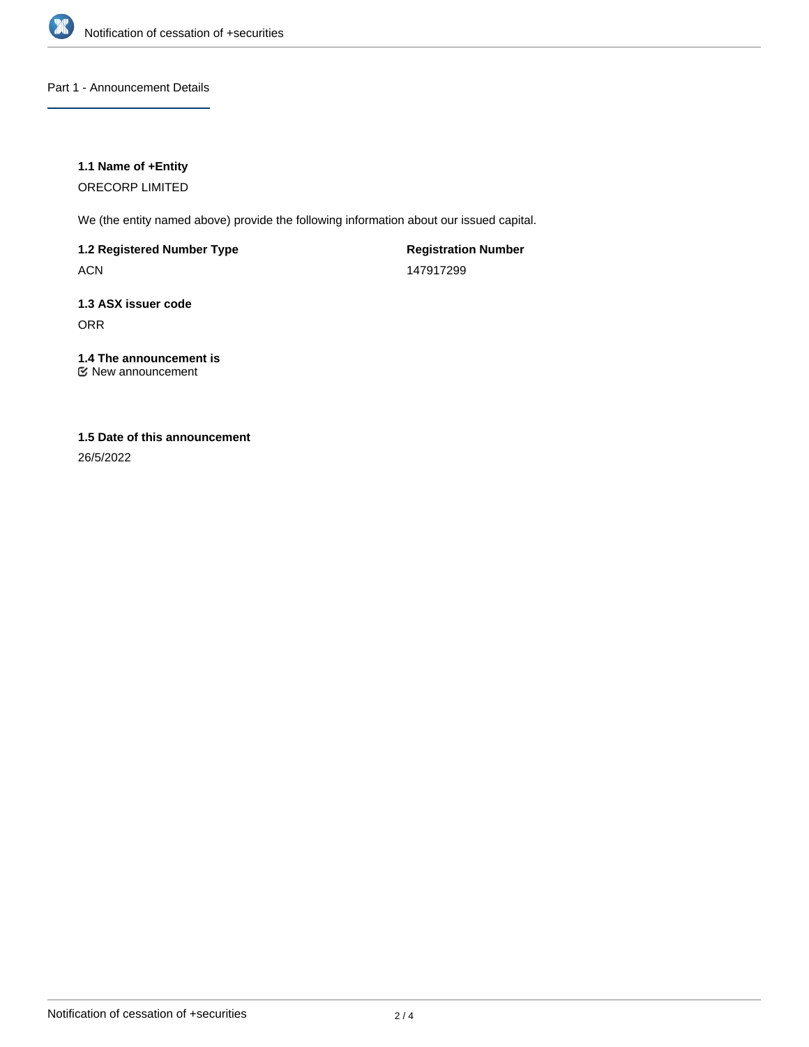

### Part 1 - Announcement Details

### **1.1 Name of +Entity**

ORECORP LIMITED

We (the entity named above) provide the following information about our issued capital.

**1.2 Registered Number Type**

ACN

**Registration Number** 147917299

## **1.3 ASX issuer code** ORR

# **1.4 The announcement is**

New announcement

# **1.5 Date of this announcement**

26/5/2022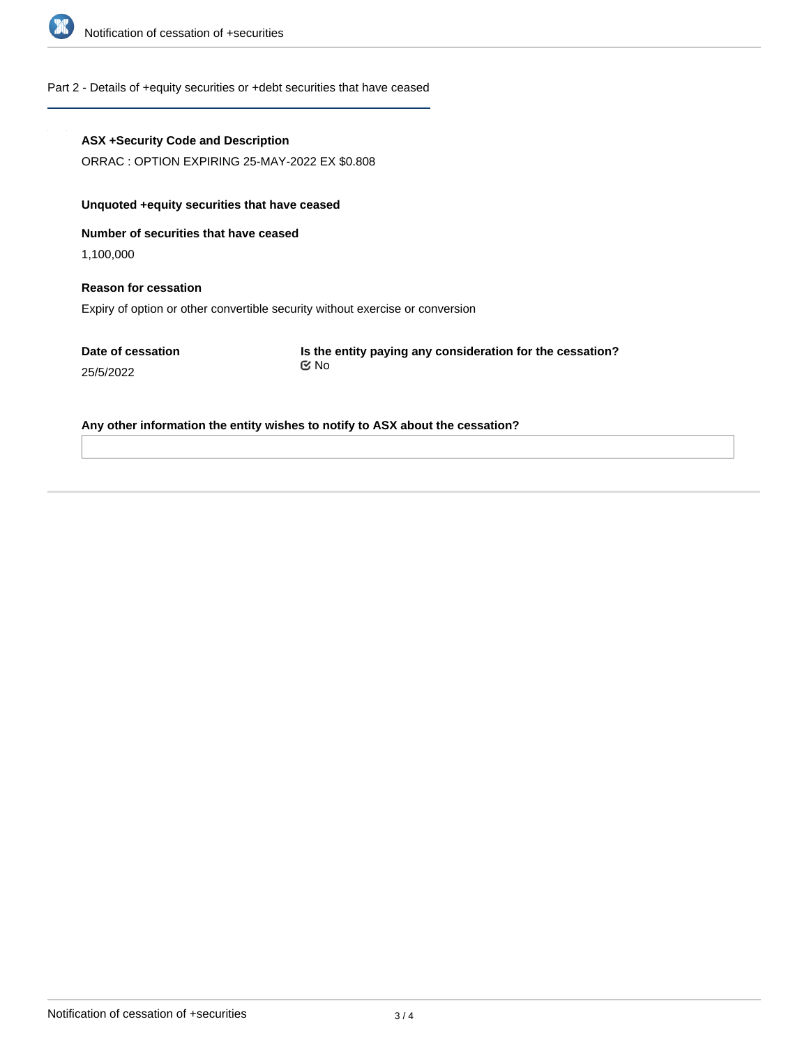

### Part 2 - Details of +equity securities or +debt securities that have ceased

#### **ASX +Security Code and Description**

ORRAC : OPTION EXPIRING 25-MAY-2022 EX \$0.808

### **Unquoted +equity securities that have ceased**

**Number of securities that have ceased**

1,100,000

# **Reason for cessation** Expiry of option or other convertible security without exercise or conversion

**Date of cessation** 25/5/2022

**Is the entity paying any consideration for the cessation?** No

#### **Any other information the entity wishes to notify to ASX about the cessation?**